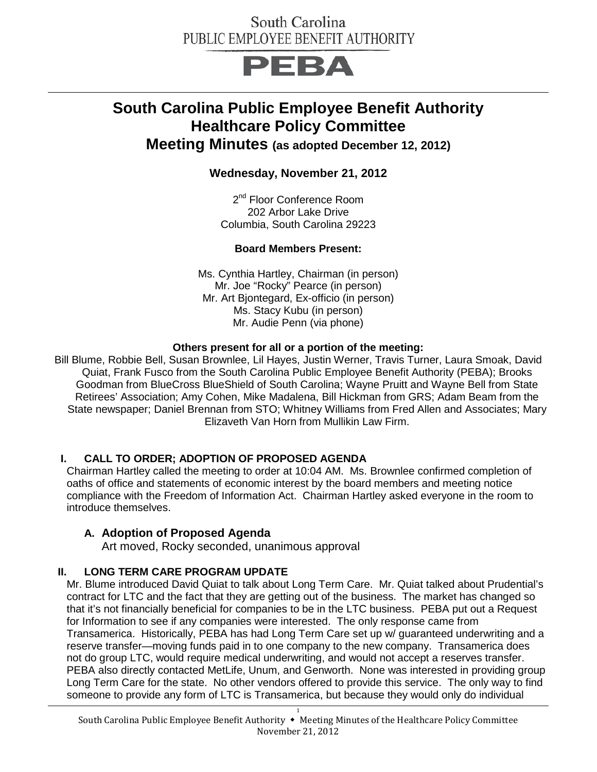## PEBA

## **South Carolina Public Employee Benefit Authority Healthcare Policy Committee**

**Meeting Minutes (as adopted December 12, 2012)**

**Wednesday, November 21, 2012**

2<sup>nd</sup> Floor Conference Room 202 Arbor Lake Drive Columbia, South Carolina 29223

#### **Board Members Present:**

Ms. Cynthia Hartley, Chairman (in person) Mr. Joe "Rocky" Pearce (in person) Mr. Art Bjontegard, Ex-officio (in person) Ms. Stacy Kubu (in person) Mr. Audie Penn (via phone)

#### **Others present for all or a portion of the meeting:**

Bill Blume, Robbie Bell, Susan Brownlee, Lil Hayes, Justin Werner, Travis Turner, Laura Smoak, David Quiat, Frank Fusco from the South Carolina Public Employee Benefit Authority (PEBA); Brooks Goodman from BlueCross BlueShield of South Carolina; Wayne Pruitt and Wayne Bell from State Retirees' Association; Amy Cohen, Mike Madalena, Bill Hickman from GRS; Adam Beam from the State newspaper; Daniel Brennan from STO; Whitney Williams from Fred Allen and Associates; Mary Elizaveth Van Horn from Mullikin Law Firm.

#### **I. CALL TO ORDER; ADOPTION OF PROPOSED AGENDA**

Chairman Hartley called the meeting to order at 10:04 AM. Ms. Brownlee confirmed completion of oaths of office and statements of economic interest by the board members and meeting notice compliance with the Freedom of Information Act. Chairman Hartley asked everyone in the room to introduce themselves.

#### **A. Adoption of Proposed Agenda**

Art moved, Rocky seconded, unanimous approval

#### **II. LONG TERM CARE PROGRAM UPDATE**

Mr. Blume introduced David Quiat to talk about Long Term Care. Mr. Quiat talked about Prudential's contract for LTC and the fact that they are getting out of the business. The market has changed so that it's not financially beneficial for companies to be in the LTC business. PEBA put out a Request for Information to see if any companies were interested. The only response came from Transamerica. Historically, PEBA has had Long Term Care set up w/ guaranteed underwriting and a reserve transfer—moving funds paid in to one company to the new company. Transamerica does not do group LTC, would require medical underwriting, and would not accept a reserves transfer. PEBA also directly contacted MetLife, Unum, and Genworth. None was interested in providing group Long Term Care for the state. No other vendors offered to provide this service. The only way to find someone to provide any form of LTC is Transamerica, but because they would only do individual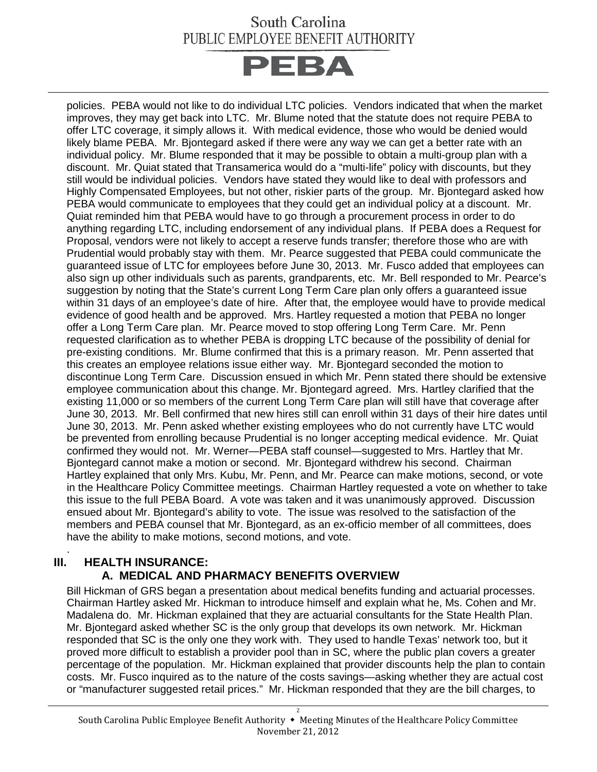

policies. PEBA would not like to do individual LTC policies. Vendors indicated that when the market improves, they may get back into LTC. Mr. Blume noted that the statute does not require PEBA to offer LTC coverage, it simply allows it. With medical evidence, those who would be denied would likely blame PEBA. Mr. Bjontegard asked if there were any way we can get a better rate with an individual policy. Mr. Blume responded that it may be possible to obtain a multi-group plan with a discount. Mr. Quiat stated that Transamerica would do a "multi-life" policy with discounts, but they still would be individual policies. Vendors have stated they would like to deal with professors and Highly Compensated Employees, but not other, riskier parts of the group. Mr. Bjontegard asked how PEBA would communicate to employees that they could get an individual policy at a discount. Mr. Quiat reminded him that PEBA would have to go through a procurement process in order to do anything regarding LTC, including endorsement of any individual plans. If PEBA does a Request for Proposal, vendors were not likely to accept a reserve funds transfer; therefore those who are with Prudential would probably stay with them. Mr. Pearce suggested that PEBA could communicate the guaranteed issue of LTC for employees before June 30, 2013. Mr. Fusco added that employees can also sign up other individuals such as parents, grandparents, etc. Mr. Bell responded to Mr. Pearce's suggestion by noting that the State's current Long Term Care plan only offers a guaranteed issue within 31 days of an employee's date of hire. After that, the employee would have to provide medical evidence of good health and be approved. Mrs. Hartley requested a motion that PEBA no longer offer a Long Term Care plan. Mr. Pearce moved to stop offering Long Term Care. Mr. Penn requested clarification as to whether PEBA is dropping LTC because of the possibility of denial for pre-existing conditions. Mr. Blume confirmed that this is a primary reason. Mr. Penn asserted that this creates an employee relations issue either way. Mr. Bjontegard seconded the motion to discontinue Long Term Care. Discussion ensued in which Mr. Penn stated there should be extensive employee communication about this change. Mr. Bjontegard agreed. Mrs. Hartley clarified that the existing 11,000 or so members of the current Long Term Care plan will still have that coverage after June 30, 2013. Mr. Bell confirmed that new hires still can enroll within 31 days of their hire dates until June 30, 2013. Mr. Penn asked whether existing employees who do not currently have LTC would be prevented from enrolling because Prudential is no longer accepting medical evidence. Mr. Quiat confirmed they would not. Mr. Werner—PEBA staff counsel—suggested to Mrs. Hartley that Mr. Bjontegard cannot make a motion or second. Mr. Bjontegard withdrew his second. Chairman Hartley explained that only Mrs. Kubu, Mr. Penn, and Mr. Pearce can make motions, second, or vote in the Healthcare Policy Committee meetings. Chairman Hartley requested a vote on whether to take this issue to the full PEBA Board. A vote was taken and it was unanimously approved. Discussion ensued about Mr. Bjontegard's ability to vote. The issue was resolved to the satisfaction of the members and PEBA counsel that Mr. Bjontegard, as an ex-officio member of all committees, does have the ability to make motions, second motions, and vote.

#### . **III. HEALTH INSURANCE: A. MEDICAL AND PHARMACY BENEFITS OVERVIEW**

Bill Hickman of GRS began a presentation about medical benefits funding and actuarial processes. Chairman Hartley asked Mr. Hickman to introduce himself and explain what he, Ms. Cohen and Mr. Madalena do. Mr. Hickman explained that they are actuarial consultants for the State Health Plan. Mr. Bjontegard asked whether SC is the only group that develops its own network. Mr. Hickman responded that SC is the only one they work with. They used to handle Texas' network too, but it proved more difficult to establish a provider pool than in SC, where the public plan covers a greater percentage of the population. Mr. Hickman explained that provider discounts help the plan to contain costs. Mr. Fusco inquired as to the nature of the costs savings—asking whether they are actual cost or "manufacturer suggested retail prices." Mr. Hickman responded that they are the bill charges, to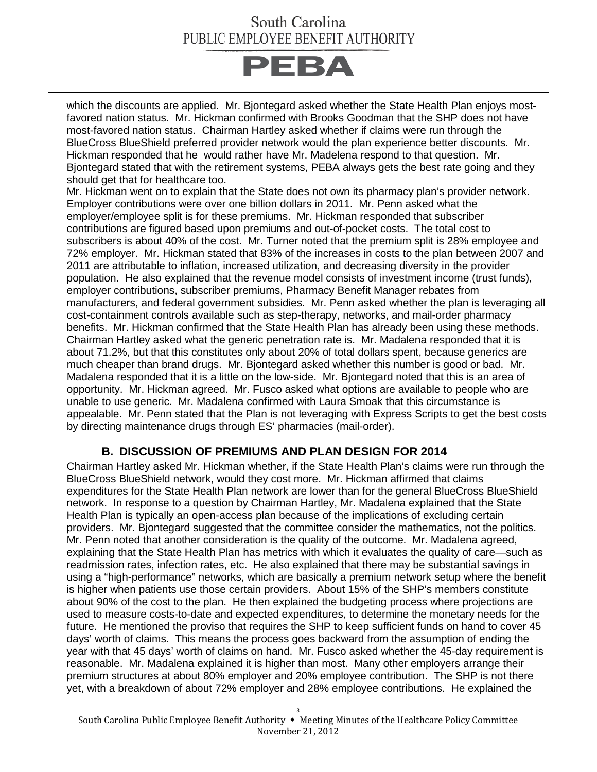# **PEBA**

which the discounts are applied. Mr. Bjontegard asked whether the State Health Plan enjoys mostfavored nation status. Mr. Hickman confirmed with Brooks Goodman that the SHP does not have most-favored nation status. Chairman Hartley asked whether if claims were run through the BlueCross BlueShield preferred provider network would the plan experience better discounts. Mr. Hickman responded that he would rather have Mr. Madelena respond to that question. Mr. Bjontegard stated that with the retirement systems, PEBA always gets the best rate going and they should get that for healthcare too.

Mr. Hickman went on to explain that the State does not own its pharmacy plan's provider network. Employer contributions were over one billion dollars in 2011. Mr. Penn asked what the employer/employee split is for these premiums. Mr. Hickman responded that subscriber contributions are figured based upon premiums and out-of-pocket costs. The total cost to subscribers is about 40% of the cost. Mr. Turner noted that the premium split is 28% employee and 72% employer. Mr. Hickman stated that 83% of the increases in costs to the plan between 2007 and 2011 are attributable to inflation, increased utilization, and decreasing diversity in the provider population. He also explained that the revenue model consists of investment income (trust funds), employer contributions, subscriber premiums, Pharmacy Benefit Manager rebates from manufacturers, and federal government subsidies. Mr. Penn asked whether the plan is leveraging all cost-containment controls available such as step-therapy, networks, and mail-order pharmacy benefits. Mr. Hickman confirmed that the State Health Plan has already been using these methods. Chairman Hartley asked what the generic penetration rate is. Mr. Madalena responded that it is about 71.2%, but that this constitutes only about 20% of total dollars spent, because generics are much cheaper than brand drugs. Mr. Bjontegard asked whether this number is good or bad. Mr. Madalena responded that it is a little on the low-side. Mr. Bjontegard noted that this is an area of opportunity. Mr. Hickman agreed. Mr. Fusco asked what options are available to people who are unable to use generic. Mr. Madalena confirmed with Laura Smoak that this circumstance is appealable. Mr. Penn stated that the Plan is not leveraging with Express Scripts to get the best costs by directing maintenance drugs through ES' pharmacies (mail-order).

#### **B. DISCUSSION OF PREMIUMS AND PLAN DESIGN FOR 2014**

Chairman Hartley asked Mr. Hickman whether, if the State Health Plan's claims were run through the BlueCross BlueShield network, would they cost more. Mr. Hickman affirmed that claims expenditures for the State Health Plan network are lower than for the general BlueCross BlueShield network. In response to a question by Chairman Hartley, Mr. Madalena explained that the State Health Plan is typically an open-access plan because of the implications of excluding certain providers. Mr. Bjontegard suggested that the committee consider the mathematics, not the politics. Mr. Penn noted that another consideration is the quality of the outcome. Mr. Madalena agreed, explaining that the State Health Plan has metrics with which it evaluates the quality of care—such as readmission rates, infection rates, etc. He also explained that there may be substantial savings in using a "high-performance" networks, which are basically a premium network setup where the benefit is higher when patients use those certain providers. About 15% of the SHP's members constitute about 90% of the cost to the plan. He then explained the budgeting process where projections are used to measure costs-to-date and expected expenditures, to determine the monetary needs for the future. He mentioned the proviso that requires the SHP to keep sufficient funds on hand to cover 45 days' worth of claims. This means the process goes backward from the assumption of ending the year with that 45 days' worth of claims on hand. Mr. Fusco asked whether the 45-day requirement is reasonable. Mr. Madalena explained it is higher than most. Many other employers arrange their premium structures at about 80% employer and 20% employee contribution. The SHP is not there yet, with a breakdown of about 72% employer and 28% employee contributions. He explained the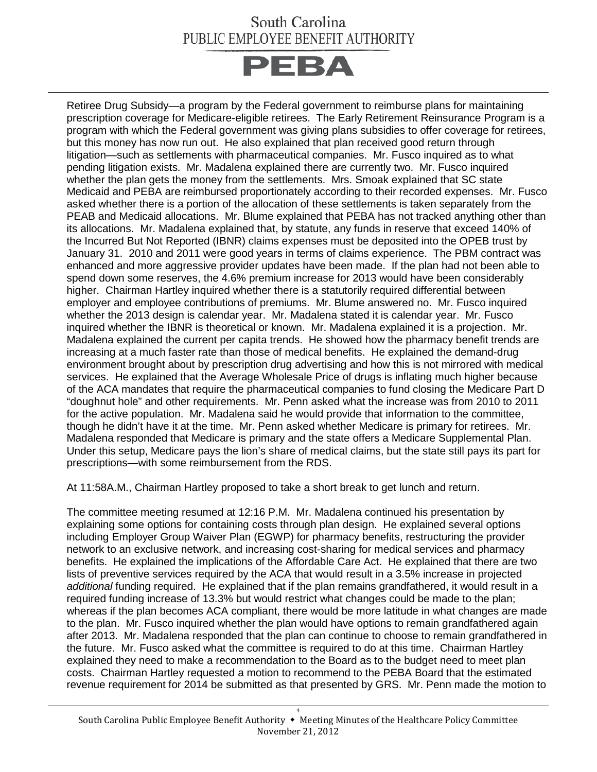

Retiree Drug Subsidy—a program by the Federal government to reimburse plans for maintaining prescription coverage for Medicare-eligible retirees. The Early Retirement Reinsurance Program is a program with which the Federal government was giving plans subsidies to offer coverage for retirees, but this money has now run out. He also explained that plan received good return through litigation—such as settlements with pharmaceutical companies. Mr. Fusco inquired as to what pending litigation exists. Mr. Madalena explained there are currently two. Mr. Fusco inquired whether the plan gets the money from the settlements. Mrs. Smoak explained that SC state Medicaid and PEBA are reimbursed proportionately according to their recorded expenses. Mr. Fusco asked whether there is a portion of the allocation of these settlements is taken separately from the PEAB and Medicaid allocations. Mr. Blume explained that PEBA has not tracked anything other than its allocations. Mr. Madalena explained that, by statute, any funds in reserve that exceed 140% of the Incurred But Not Reported (IBNR) claims expenses must be deposited into the OPEB trust by January 31. 2010 and 2011 were good years in terms of claims experience. The PBM contract was enhanced and more aggressive provider updates have been made. If the plan had not been able to spend down some reserves, the 4.6% premium increase for 2013 would have been considerably higher. Chairman Hartley inquired whether there is a statutorily required differential between employer and employee contributions of premiums. Mr. Blume answered no. Mr. Fusco inquired whether the 2013 design is calendar year. Mr. Madalena stated it is calendar year. Mr. Fusco inquired whether the IBNR is theoretical or known. Mr. Madalena explained it is a projection. Mr. Madalena explained the current per capita trends. He showed how the pharmacy benefit trends are increasing at a much faster rate than those of medical benefits. He explained the demand-drug environment brought about by prescription drug advertising and how this is not mirrored with medical services. He explained that the Average Wholesale Price of drugs is inflating much higher because of the ACA mandates that require the pharmaceutical companies to fund closing the Medicare Part D "doughnut hole" and other requirements. Mr. Penn asked what the increase was from 2010 to 2011 for the active population. Mr. Madalena said he would provide that information to the committee, though he didn't have it at the time. Mr. Penn asked whether Medicare is primary for retirees. Mr. Madalena responded that Medicare is primary and the state offers a Medicare Supplemental Plan. Under this setup, Medicare pays the lion's share of medical claims, but the state still pays its part for prescriptions—with some reimbursement from the RDS.

At 11:58A.M., Chairman Hartley proposed to take a short break to get lunch and return.

The committee meeting resumed at 12:16 P.M. Mr. Madalena continued his presentation by explaining some options for containing costs through plan design. He explained several options including Employer Group Waiver Plan (EGWP) for pharmacy benefits, restructuring the provider network to an exclusive network, and increasing cost-sharing for medical services and pharmacy benefits. He explained the implications of the Affordable Care Act. He explained that there are two lists of preventive services required by the ACA that would result in a 3.5% increase in projected *additional* funding required. He explained that if the plan remains grandfathered, it would result in a required funding increase of 13.3% but would restrict what changes could be made to the plan; whereas if the plan becomes ACA compliant, there would be more latitude in what changes are made to the plan. Mr. Fusco inquired whether the plan would have options to remain grandfathered again after 2013. Mr. Madalena responded that the plan can continue to choose to remain grandfathered in the future. Mr. Fusco asked what the committee is required to do at this time. Chairman Hartley explained they need to make a recommendation to the Board as to the budget need to meet plan costs. Chairman Hartley requested a motion to recommend to the PEBA Board that the estimated revenue requirement for 2014 be submitted as that presented by GRS. Mr. Penn made the motion to